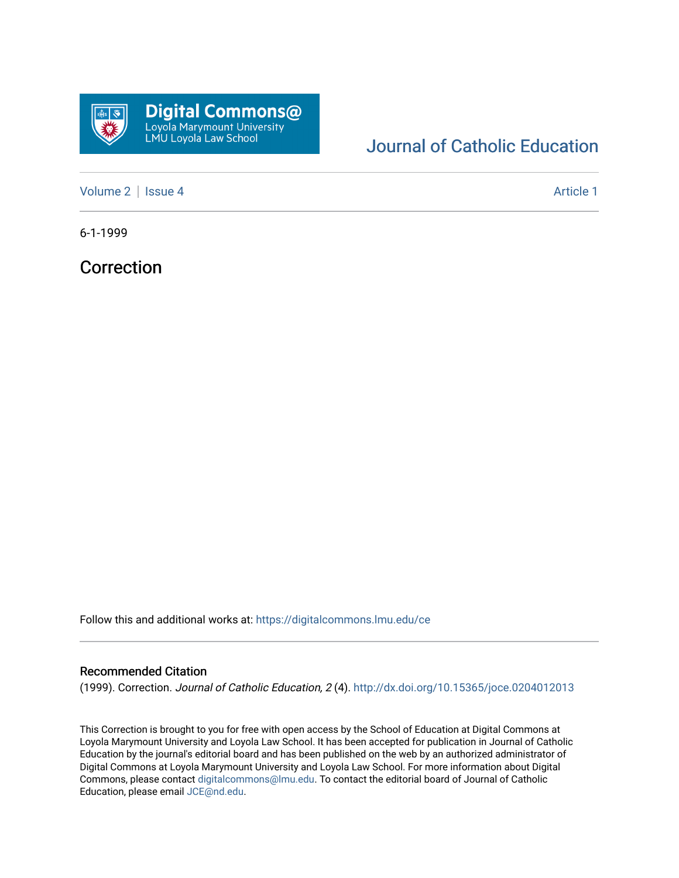

## [Journal of Catholic Education](https://digitalcommons.lmu.edu/ce)

[Volume 2](https://digitalcommons.lmu.edu/ce/vol2) | [Issue 4](https://digitalcommons.lmu.edu/ce/vol2/iss4) Article 1

6-1-1999

Correction

Follow this and additional works at: [https://digitalcommons.lmu.edu/ce](https://digitalcommons.lmu.edu/ce?utm_source=digitalcommons.lmu.edu%2Fce%2Fvol2%2Fiss4%2F1&utm_medium=PDF&utm_campaign=PDFCoverPages)

## Recommended Citation

(1999). Correction. Journal of Catholic Education, 2 (4). <http://dx.doi.org/10.15365/joce.0204012013>

This Correction is brought to you for free with open access by the School of Education at Digital Commons at Loyola Marymount University and Loyola Law School. It has been accepted for publication in Journal of Catholic Education by the journal's editorial board and has been published on the web by an authorized administrator of Digital Commons at Loyola Marymount University and Loyola Law School. For more information about Digital Commons, please contact [digitalcommons@lmu.edu.](mailto:digitalcommons@lmu.edu) To contact the editorial board of Journal of Catholic Education, please email [JCE@nd.edu.](mailto:JCE@nd.edu)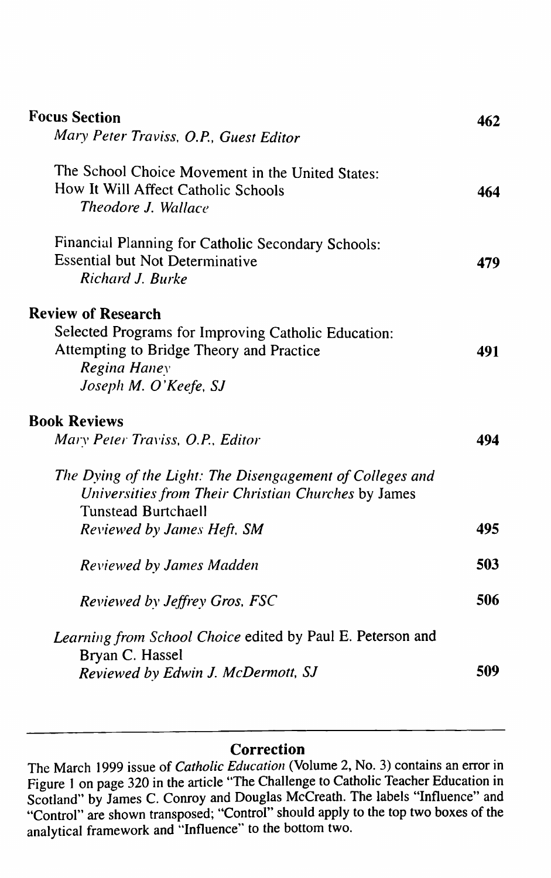| <b>Focus Section</b>                                       | 462 |
|------------------------------------------------------------|-----|
| Mary Peter Traviss, O.P., Guest Editor                     |     |
| The School Choice Movement in the United States:           |     |
| How It Will Affect Catholic Schools                        | 464 |
| <b>Theodore J. Wallace</b>                                 |     |
| Financial Planning for Catholic Secondary Schools:         |     |
| <b>Essential but Not Determinative</b>                     | 479 |
| Richard J. Burke                                           |     |
| <b>Review of Research</b>                                  |     |
| Selected Programs for Improving Catholic Education:        |     |
| Attempting to Bridge Theory and Practice                   | 491 |
| Regina Haney                                               |     |
| Joseph M. O'Keefe, SJ                                      |     |
| <b>Book Reviews</b>                                        |     |
| Mary Peter Traviss, O.P., Editor                           | 494 |
| The Dying of the Light: The Disengagement of Colleges and  |     |
| Universities from Their Christian Churches by James        |     |
| <b>Tunstead Burtchaell</b>                                 |     |
| Reviewed by James Heft, SM                                 | 495 |
| Reviewed by James Madden                                   | 503 |
| Reviewed by Jeffrey Gros, FSC                              | 506 |
| Learning from School Choice edited by Paul E. Peterson and |     |
| Bryan C. Hassel                                            |     |
| <b>Reviewed by Edwin J. McDermott, SJ</b>                  | 509 |

## **Correction**

The March 1999 issue of *Catholic Education* (Volume 2, No. 3) contains an error in Figure 1 on page 320 in the article "The Challenge to Catholic Teacher Education in Scotland" by James C. Conroy and Douglas McCreath. The labels "Influence" and "Control" are shown transposed; "Control" should apply to the top two boxes of the analytical framework and "Influence" to the bottom two.